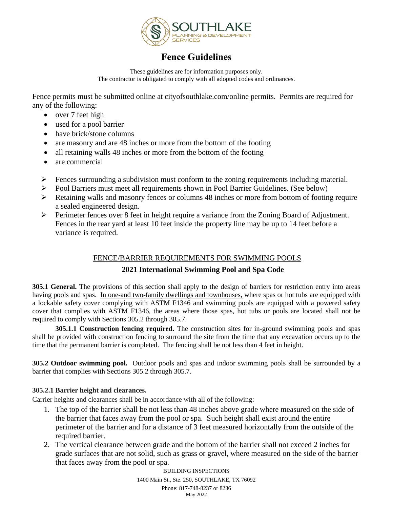

# **Fence Guidelines**

These guidelines are for information purposes only. The contractor is obligated to comply with all adopted codes and ordinances.

Fence permits must be submitted online at cityofsouthlake.com/online permits. Permits are required for any of the following:

- over 7 feet high
- used for a pool barrier
- have brick/stone columns
- are masonry and are 48 inches or more from the bottom of the footing
- all retaining walls 48 inches or more from the bottom of the footing
- are commercial
- ➢ Fences surrounding a subdivision must conform to the zoning requirements including material.
- ➢ Pool Barriers must meet all requirements shown in Pool Barrier Guidelines. (See below)
- ➢ Retaining walls and masonry fences or columns 48 inches or more from bottom of footing require a sealed engineered design.
- ➢ Perimeter fences over 8 feet in height require a variance from the Zoning Board of Adjustment. Fences in the rear yard at least 10 feet inside the property line may be up to 14 feet before a variance is required.

## FENCE/BARRIER REQUIREMENTS FOR SWIMMING POOLS

## **2021 International Swimming Pool and Spa Code**

**305.1 General.** The provisions of this section shall apply to the design of barriers for restriction entry into areas having pools and spas. In one-and two-family dwellings and townhouses, where spas or hot tubs are equipped with a lockable safety cover complying with ASTM F1346 and swimming pools are equipped with a powered safety cover that complies with ASTM F1346, the areas where those spas, hot tubs or pools are located shall not be required to comply with Sections 305.2 through 305.7.

**305.1.1 Construction fencing required.** The construction sites for in-ground swimming pools and spas shall be provided with construction fencing to surround the site from the time that any excavation occurs up to the time that the permanent barrier is completed. The fencing shall be not less than 4 feet in height.

**305.2 Outdoor swimming pool.** Outdoor pools and spas and indoor swimming pools shall be surrounded by a barrier that complies with Sections 305.2 through 305.7.

## **305.2.1 Barrier height and clearances.**

Carrier heights and clearances shall be in accordance with all of the following:

- 1. The top of the barrier shall be not less than 48 inches above grade where measured on the side of the barrier that faces away from the pool or spa. Such height shall exist around the entire perimeter of the barrier and for a distance of 3 feet measured horizontally from the outside of the required barrier.
- 2. The vertical clearance between grade and the bottom of the barrier shall not exceed 2 inches for grade surfaces that are not solid, such as grass or gravel, where measured on the side of the barrier that faces away from the pool or spa.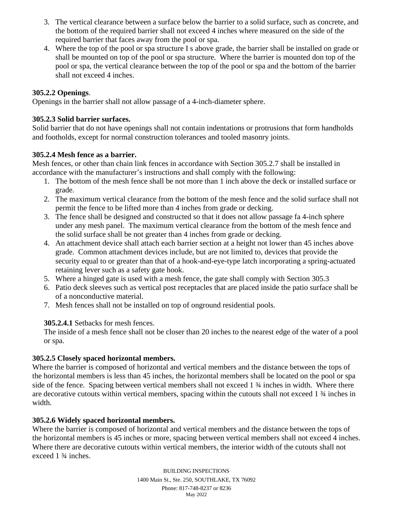- 3. The vertical clearance between a surface below the barrier to a solid surface, such as concrete, and the bottom of the required barrier shall not exceed 4 inches where measured on the side of the required barrier that faces away from the pool or spa.
- 4. Where the top of the pool or spa structure I s above grade, the barrier shall be installed on grade or shall be mounted on top of the pool or spa structure. Where the barrier is mounted don top of the pool or spa, the vertical clearance between the top of the pool or spa and the bottom of the barrier shall not exceed 4 inches.

## **305.2.2 Openings**.

Openings in the barrier shall not allow passage of a 4-inch-diameter sphere.

## **305.2.3 Solid barrier surfaces.**

Solid barrier that do not have openings shall not contain indentations or protrusions that form handholds and footholds, except for normal construction tolerances and tooled masonry joints.

## **305.2.4 Mesh fence as a barrier.**

Mesh fences, or other than chain link fences in accordance with Section 305.2.7 shall be installed in accordance with the manufacturer's instructions and shall comply with the following:

- 1. The bottom of the mesh fence shall be not more than 1 inch above the deck or installed surface or grade.
- 2. The maximum vertical clearance from the bottom of the mesh fence and the solid surface shall not permit the fence to be lifted more than 4 inches from grade or decking.
- 3. The fence shall be designed and constructed so that it does not allow passage fa 4-inch sphere under any mesh panel. The maximum vertical clearance from the bottom of the mesh fence and the solid surface shall be not greater than 4 inches from grade or decking.
- 4. An attachment device shall attach each barrier section at a height not lower than 45 inches above grade. Common attachment devices include, but are not limited to, devices that provide the security equal to or greater than that of a hook-and-eye-type latch incorporating a spring-actuated retaining lever such as a safety gate hook.
- 5. Where a hinged gate is used with a mesh fence, the gate shall comply with Section 305.3
- 6. Patio deck sleeves such as vertical post receptacles that are placed inside the patio surface shall be of a nonconductive material.
- 7. Mesh fences shall not be installed on top of onground residential pools.

## **305.2.4.1** Setbacks for mesh fences.

The inside of a mesh fence shall not be closer than 20 inches to the nearest edge of the water of a pool or spa.

## **305.2.5 Closely spaced horizontal members.**

Where the barrier is composed of horizontal and vertical members and the distance between the tops of the horizontal members is less than 45 inches, the horizontal members shall be located on the pool or spa side of the fence. Spacing between vertical members shall not exceed 1 ¾ inches in width. Where there are decorative cutouts within vertical members, spacing within the cutouts shall not exceed 1 ¾ inches in width.

## **305.2.6 Widely spaced horizontal members.**

Where the barrier is composed of horizontal and vertical members and the distance between the tops of the horizontal members is 45 inches or more, spacing between vertical members shall not exceed 4 inches. Where there are decorative cutouts within vertical members, the interior width of the cutouts shall not exceed 1 ¾ inches.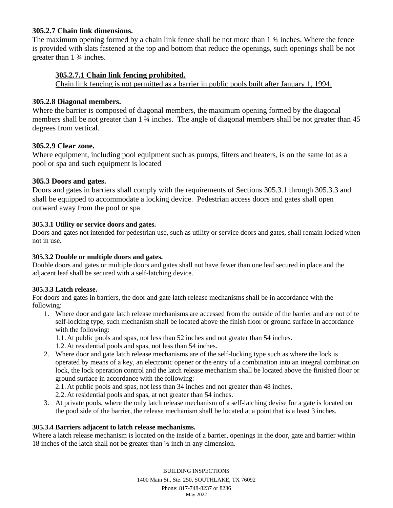#### **305.2.7 Chain link dimensions.**

The maximum opening formed by a chain link fence shall be not more than 1 ¾ inches. Where the fence is provided with slats fastened at the top and bottom that reduce the openings, such openings shall be not greater than 1 ¾ inches.

### **305.2.7.1 Chain link fencing prohibited.**

Chain link fencing is not permitted as a barrier in public pools built after January 1, 1994.

#### **305.2.8 Diagonal members.**

Where the barrier is composed of diagonal members, the maximum opening formed by the diagonal members shall be not greater than 1  $\frac{3}{4}$  inches. The angle of diagonal members shall be not greater than 45 degrees from vertical.

#### **305.2.9 Clear zone.**

Where equipment, including pool equipment such as pumps, filters and heaters, is on the same lot as a pool or spa and such equipment is located

#### **305.3 Doors and gates.**

Doors and gates in barriers shall comply with the requirements of Sections 305.3.1 through 305.3.3 and shall be equipped to accommodate a locking device. Pedestrian access doors and gates shall open outward away from the pool or spa.

#### **305.3.1 Utility or service doors and gates.**

Doors and gates not intended for pedestrian use, such as utility or service doors and gates, shall remain locked when not in use.

#### **305.3.2 Double or multiple doors and gates.**

Double doors and gates or multiple doors and gates shall not have fewer than one leaf secured in place and the adjacent leaf shall be secured with a self-latching device.

#### **305.3.3 Latch release.**

For doors and gates in barriers, the door and gate latch release mechanisms shall be in accordance with the following:

1. Where door and gate latch release mechanisms are accessed from the outside of the barrier and are not of te self-locking type, such mechanism shall be located above the finish floor or ground surface in accordance with the following:

1.1.At public pools and spas, not less than 52 inches and not greater than 54 inches.

1.2.At residential pools and spas, not less than 54 inches.

2. Where door and gate latch release mechanisms are of the self-locking type such as where the lock is operated by means of a key, an electronic opener or the entry of a combination into an integral combination lock, the lock operation control and the latch release mechanism shall be located above the finished floor or ground surface in accordance with the following:

2.1.At public pools and spas, not less than 34 inches and not greater than 48 inches.

2.2.At residential pools and spas, at not greater than 54 inches.

3. At private pools, where the only latch release mechanism of a self-latching devise for a gate is located on the pool side of the barrier, the release mechanism shall be located at a point that is a least 3 inches.

#### **305.3.4 Barriers adjacent to latch release mechanisms.**

Where a latch release mechanism is located on the inside of a barrier, openings in the door, gate and barrier within 18 inches of the latch shall not be greater than ½ inch in any dimension.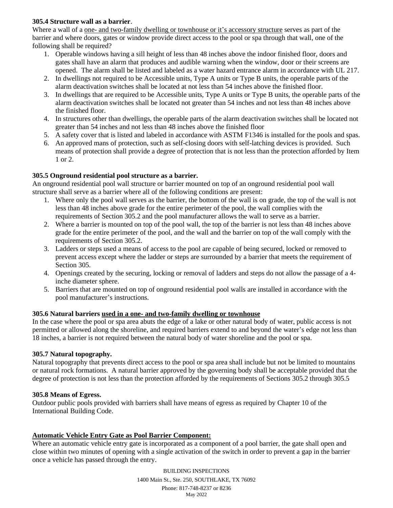#### **305.4 Structure wall as a barrier**.

Where a wall of a one- and two-family dwelling or townhouse or it's accessory structure serves as part of the barrier and where doors, gates or window provide direct access to the pool or spa through that wall, one of the following shall be required?

- 1. Operable windows having a sill height of less than 48 inches above the indoor finished floor, doors and gates shall have an alarm that produces and audible warning when the window, door or their screens are opened. The alarm shall be listed and labeled as a water hazard entrance alarm in accordance with UL 217.
- 2. In dwellings not required to be Accessible units, Type A units or Type B units, the operable parts of the alarm deactivation switches shall be located at not less than 54 inches above the finished floor.
- 3. In dwellings that are required to be Accessible units, Type A units or Type B units, the operable parts of the alarm deactivation switches shall be located not greater than 54 inches and not less than 48 inches above the finished floor.
- 4. In structures other than dwellings, the operable parts of the alarm deactivation switches shall be located not greater than 54 inches and not less than 48 inches above the finished floor
- 5. A safety cover that is listed and labeled in accordance with ASTM F1346 is installed for the pools and spas.
- 6. An approved mans of protection, such as self-closing doors with self-latching devices is provided. Such means of protection shall provide a degree of protection that is not less than the protection afforded by Item 1 or 2.

#### **305.5 Onground residential pool structure as a barrier.**

An onground residential pool wall structure or barrier mounted on top of an onground residential pool wall structure shall serve as a barrier where all of the following conditions are present:

- 1. Where only the pool wall serves as the barrier, the bottom of the wall is on grade, the top of the wall is not less than 48 inches above grade for the entire perimeter of the pool, the wall complies with the requirements of Section 305.2 and the pool manufacturer allows the wall to serve as a barrier.
- 2. Where a barrier is mounted on top of the pool wall, the top of the barrier is not less than 48 inches above grade for the entire perimeter of the pool, and the wall and the barrier on top of the wall comply with the requirements of Section 305.2.
- 3. Ladders or steps used a means of access to the pool are capable of being secured, locked or removed to prevent access except where the ladder or steps are surrounded by a barrier that meets the requirement of Section 305.
- 4. Openings created by the securing, locking or removal of ladders and steps do not allow the passage of a 4 inche diameter sphere.
- 5. Barriers that are mounted on top of onground residential pool walls are installed in accordance with the pool manufacturer's instructions.

#### **305.6 Natural barriers used in a one- and two-family dwelling or townhouse**

In the case where the pool or spa area abuts the edge of a lake or other natural body of water, public access is not permitted or allowed along the shoreline, and required barriers extend to and beyond the water's edge not less than 18 inches, a barrier is not required between the natural body of water shoreline and the pool or spa.

#### **305.7 Natural topography.**

Natural topography that prevents direct access to the pool or spa area shall include but not be limited to mountains or natural rock formations. A natural barrier approved by the governing body shall be acceptable provided that the degree of protection is not less than the protection afforded by the requirements of Sections 305.2 through 305.5

#### **305.8 Means of Egress.**

Outdoor public pools provided with barriers shall have means of egress as required by Chapter 10 of the International Building Code.

## **Automatic Vehicle Entry Gate as Pool Barrier Component:**

Where an automatic vehicle entry gate is incorporated as a component of a pool barrier, the gate shall open and close within two minutes of opening with a single activation of the switch in order to prevent a gap in the barrier once a vehicle has passed through the entry.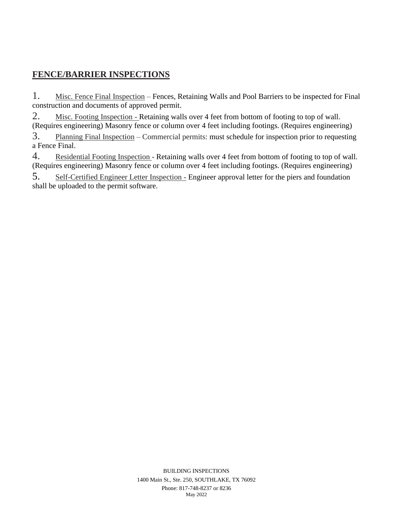## **FENCE/BARRIER INSPECTIONS**

1. Misc. Fence Final Inspection – Fences, Retaining Walls and Pool Barriers to be inspected for Final construction and documents of approved permit.

2. Misc. Footing Inspection - Retaining walls over 4 feet from bottom of footing to top of wall. (Requires engineering) Masonry fence or column over 4 feet including footings. (Requires engineering)

3. Planning Final Inspection – Commercial permits: must schedule for inspection prior to requesting a Fence Final.

4. Residential Footing Inspection - Retaining walls over 4 feet from bottom of footing to top of wall. (Requires engineering) Masonry fence or column over 4 feet including footings. (Requires engineering)

5. Self-Certified Engineer Letter Inspection - Engineer approval letter for the piers and foundation shall be uploaded to the permit software.